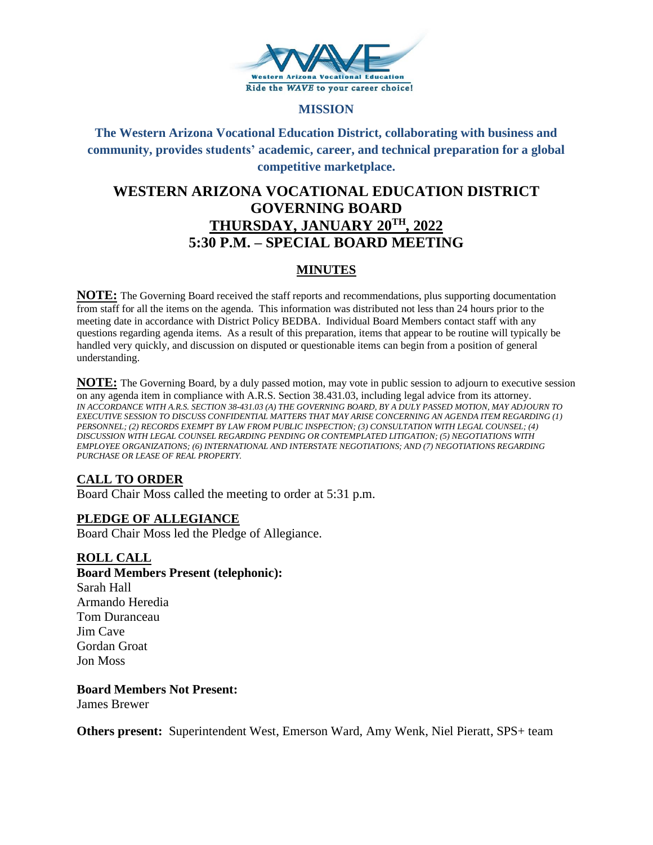

### **MISSION**

# **The Western Arizona Vocational Education District, collaborating with business and community, provides students' academic, career, and technical preparation for a global competitive marketplace.**

# **WESTERN ARIZONA VOCATIONAL EDUCATION DISTRICT GOVERNING BOARD THURSDAY, JANUARY 20TH, 2022 5:30 P.M. – SPECIAL BOARD MEETING**

## **MINUTES**

**NOTE:** The Governing Board received the staff reports and recommendations, plus supporting documentation from staff for all the items on the agenda. This information was distributed not less than 24 hours prior to the meeting date in accordance with District Policy BEDBA. Individual Board Members contact staff with any questions regarding agenda items. As a result of this preparation, items that appear to be routine will typically be handled very quickly, and discussion on disputed or questionable items can begin from a position of general understanding.

**NOTE:** The Governing Board, by a duly passed motion, may vote in public session to adjourn to executive session on any agenda item in compliance with A.R.S. Section 38.431.03, including legal advice from its attorney. *IN ACCORDANCE WITH A.R.S. SECTION 38-431.03 (A) THE GOVERNING BOARD, BY A DULY PASSED MOTION, MAY ADJOURN TO EXECUTIVE SESSION TO DISCUSS CONFIDENTIAL MATTERS THAT MAY ARISE CONCERNING AN AGENDA ITEM REGARDING (1) PERSONNEL; (2) RECORDS EXEMPT BY LAW FROM PUBLIC INSPECTION; (3) CONSULTATION WITH LEGAL COUNSEL; (4) DISCUSSION WITH LEGAL COUNSEL REGARDING PENDING OR CONTEMPLATED LITIGATION; (5) NEGOTIATIONS WITH EMPLOYEE ORGANIZATIONS; (6) INTERNATIONAL AND INTERSTATE NEGOTIATIONS; AND (7) NEGOTIATIONS REGARDING PURCHASE OR LEASE OF REAL PROPERTY.*

## **CALL TO ORDER**

Board Chair Moss called the meeting to order at 5:31 p.m.

## **PLEDGE OF ALLEGIANCE**

Board Chair Moss led the Pledge of Allegiance.

#### **ROLL CALL**

- **Board Members Present (telephonic):**
- Sarah Hall Armando Heredia Tom Duranceau Jim Cave Gordan Groat Jon Moss

**Board Members Not Present:** James Brewer

**Others present:** Superintendent West, Emerson Ward, Amy Wenk, Niel Pieratt, SPS+ team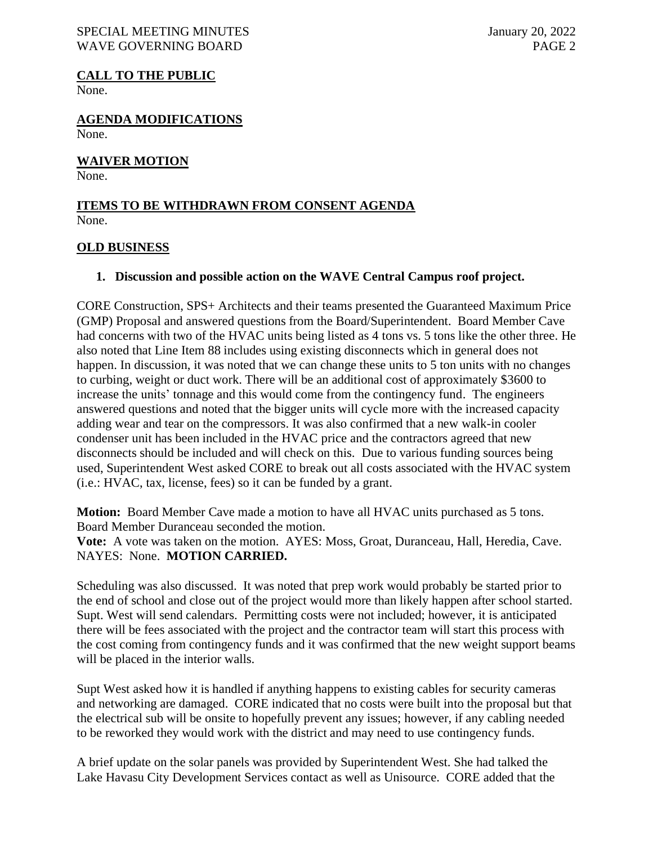#### SPECIAL MEETING MINUTES January 20, 2022 WAVE GOVERNING BOARD **PAGE 2**

**CALL TO THE PUBLIC** None.

**AGENDA MODIFICATIONS** None.

## **WAIVER MOTION**

None.

#### **ITEMS TO BE WITHDRAWN FROM CONSENT AGENDA** None.

### **OLD BUSINESS**

## **1. Discussion and possible action on the WAVE Central Campus roof project.**

CORE Construction, SPS+ Architects and their teams presented the Guaranteed Maximum Price (GMP) Proposal and answered questions from the Board/Superintendent. Board Member Cave had concerns with two of the HVAC units being listed as 4 tons vs. 5 tons like the other three. He also noted that Line Item 88 includes using existing disconnects which in general does not happen. In discussion, it was noted that we can change these units to 5 ton units with no changes to curbing, weight or duct work. There will be an additional cost of approximately \$3600 to increase the units' tonnage and this would come from the contingency fund. The engineers answered questions and noted that the bigger units will cycle more with the increased capacity adding wear and tear on the compressors. It was also confirmed that a new walk-in cooler condenser unit has been included in the HVAC price and the contractors agreed that new disconnects should be included and will check on this. Due to various funding sources being used, Superintendent West asked CORE to break out all costs associated with the HVAC system (i.e.: HVAC, tax, license, fees) so it can be funded by a grant.

**Motion:** Board Member Cave made a motion to have all HVAC units purchased as 5 tons. Board Member Duranceau seconded the motion.

**Vote:** A vote was taken on the motion. AYES: Moss, Groat, Duranceau, Hall, Heredia, Cave. NAYES: None. **MOTION CARRIED.**

Scheduling was also discussed. It was noted that prep work would probably be started prior to the end of school and close out of the project would more than likely happen after school started. Supt. West will send calendars. Permitting costs were not included; however, it is anticipated there will be fees associated with the project and the contractor team will start this process with the cost coming from contingency funds and it was confirmed that the new weight support beams will be placed in the interior walls.

Supt West asked how it is handled if anything happens to existing cables for security cameras and networking are damaged. CORE indicated that no costs were built into the proposal but that the electrical sub will be onsite to hopefully prevent any issues; however, if any cabling needed to be reworked they would work with the district and may need to use contingency funds.

A brief update on the solar panels was provided by Superintendent West. She had talked the Lake Havasu City Development Services contact as well as Unisource. CORE added that the